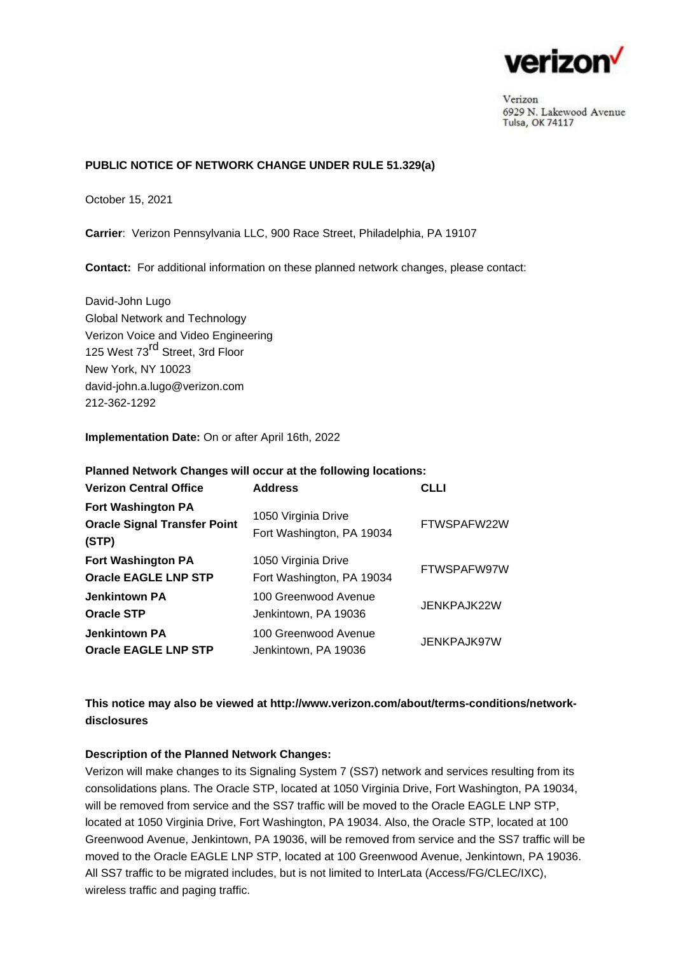

Verizon 6929 N. Lakewood Avenue Tulsa, OK 74117

## **PUBLIC NOTICE OF NETWORK CHANGE UNDER RULE 51.329(a)**

October 15, 2021

**Carrier**: Verizon Pennsylvania LLC, 900 Race Street, Philadelphia, PA 19107

**Contact:** For additional information on these planned network changes, please contact:

David-John Lugo Global Network and Technology Verizon Voice and Video Engineering 125 West 73<sup>rd</sup> Street, 3rd Floor New York, NY 10023 david-john.a.lugo@verizon.com 212-362-1292

### **Implementation Date:** On or after April 16th, 2022

| Planned Network Changes will occur at the following locations:            |                                                  |             |
|---------------------------------------------------------------------------|--------------------------------------------------|-------------|
| <b>Verizon Central Office</b>                                             | <b>Address</b>                                   | <b>CLLI</b> |
| <b>Fort Washington PA</b><br><b>Oracle Signal Transfer Point</b><br>(STP) | 1050 Virginia Drive<br>Fort Washington, PA 19034 | FTWSPAFW22W |
| <b>Fort Washington PA</b><br><b>Oracle EAGLE LNP STP</b>                  | 1050 Virginia Drive<br>Fort Washington, PA 19034 | FTWSPAFW97W |
| <b>Jenkintown PA</b><br><b>Oracle STP</b>                                 | 100 Greenwood Avenue<br>Jenkintown, PA 19036     | JENKPAJK22W |
| <b>Jenkintown PA</b><br><b>Oracle EAGLE LNP STP</b>                       | 100 Greenwood Avenue<br>Jenkintown, PA 19036     | JENKPAJK97W |

# **This notice may also be viewed at [http://www.verizon.com/about/terms-conditions/network](http://www.verizon.com/about/terms-conditions/network-disclosures)[disclosures](http://www.verizon.com/about/terms-conditions/network-disclosures)**

## **Description of the Planned Network Changes:**

Verizon will make changes to its Signaling System 7 (SS7) network and services resulting from its consolidations plans. The Oracle STP, located at 1050 Virginia Drive, Fort Washington, PA 19034, will be removed from service and the SS7 traffic will be moved to the Oracle EAGLE LNP STP, located at 1050 Virginia Drive, Fort Washington, PA 19034. Also, the Oracle STP, located at 100 Greenwood Avenue, Jenkintown, PA 19036, will be removed from service and the SS7 traffic will be moved to the Oracle EAGLE LNP STP, located at 100 Greenwood Avenue, Jenkintown, PA 19036. All SS7 traffic to be migrated includes, but is not limited to InterLata (Access/FG/CLEC/IXC), wireless traffic and paging traffic.